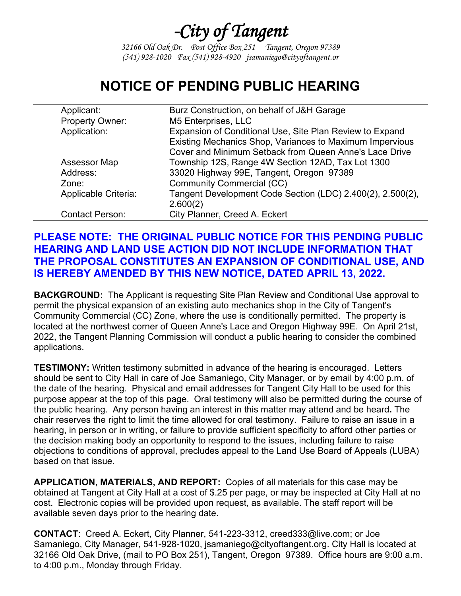## *-City of Tangent*

*32166 Old Oak Dr. Post Office Box 251 Tangent, Oregon 97389 (541) 928-1020 Fax (541) 928-4920 jsamaniego@cityoftangent.or*

## **NOTICE OF PENDING PUBLIC HEARING**

| Applicant:             | Burz Construction, on behalf of J&H Garage                 |
|------------------------|------------------------------------------------------------|
| Property Owner:        | M5 Enterprises, LLC                                        |
| Application:           | Expansion of Conditional Use, Site Plan Review to Expand   |
|                        | Existing Mechanics Shop, Variances to Maximum Impervious   |
|                        | Cover and Minimum Setback from Queen Anne's Lace Drive     |
| <b>Assessor Map</b>    | Township 12S, Range 4W Section 12AD, Tax Lot 1300          |
| Address:               | 33020 Highway 99E, Tangent, Oregon 97389                   |
| Zone:                  | <b>Community Commercial (CC)</b>                           |
| Applicable Criteria:   | Tangent Development Code Section (LDC) 2.400(2), 2.500(2), |
|                        | 2.600(2)                                                   |
| <b>Contact Person:</b> | City Planner, Creed A. Eckert                              |

## **PLEASE NOTE: THE ORIGINAL PUBLIC NOTICE FOR THIS PENDING PUBLIC HEARING AND LAND USE ACTION DID NOT INCLUDE INFORMATION THAT THE PROPOSAL CONSTITUTES AN EXPANSION OF CONDITIONAL USE, AND IS HEREBY AMENDED BY THIS NEW NOTICE, DATED APRIL 13, 2022.**

**BACKGROUND:** The Applicant is requesting Site Plan Review and Conditional Use approval to permit the physical expansion of an existing auto mechanics shop in the City of Tangent's Community Commercial (CC) Zone, where the use is conditionally permitted. The property is located at the northwest corner of Queen Anne's Lace and Oregon Highway 99E. On April 21st, 2022, the Tangent Planning Commission will conduct a public hearing to consider the combined applications.

**TESTIMONY:** Written testimony submitted in advance of the hearing is encouraged. Letters should be sent to City Hall in care of Joe Samaniego, City Manager, or by email by 4:00 p.m. of the date of the hearing. Physical and email addresses for Tangent City Hall to be used for this purpose appear at the top of this page. Oral testimony will also be permitted during the course of the public hearing. Any person having an interest in this matter may attend and be heard**.** The chair reserves the right to limit the time allowed for oral testimony. Failure to raise an issue in a hearing, in person or in writing, or failure to provide sufficient specificity to afford other parties or the decision making body an opportunity to respond to the issues, including failure to raise objections to conditions of approval, precludes appeal to the Land Use Board of Appeals (LUBA) based on that issue.

**APPLICATION, MATERIALS, AND REPORT:** Copies of all materials for this case may be obtained at Tangent at City Hall at a cost of \$.25 per page, or may be inspected at City Hall at no cost. Electronic copies will be provided upon request, as available. The staff report will be available seven days prior to the hearing date.

**CONTACT**: Creed A. Eckert, City Planner, 541-223-3312, creed333@live.com; or Joe Samaniego, City Manager, 541-928-1020, jsamaniego@cityoftangent.org. City Hall is located at 32166 Old Oak Drive, (mail to PO Box 251), Tangent, Oregon 97389. Office hours are 9:00 a.m. to 4:00 p.m., Monday through Friday.